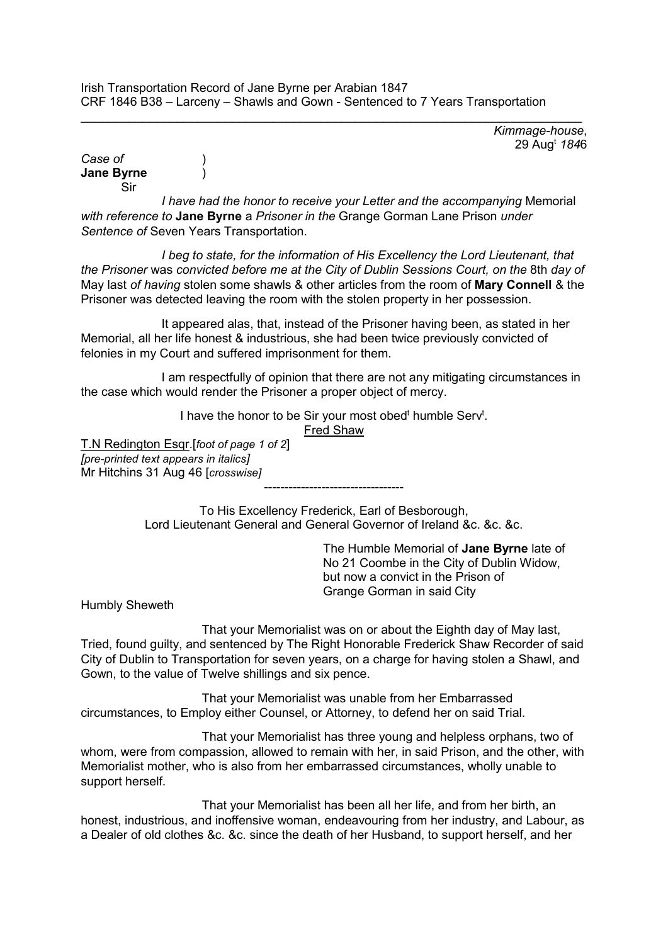$\_$  , and the set of the set of the set of the set of the set of the set of the set of the set of the set of the set of the set of the set of the set of the set of the set of the set of the set of the set of the set of th *Kimmage-house*, 29 Augt *184*6

*Case of* ) **Jane Byrne** ) Sir

*I have had the honor to receive your Letter and the accompanying* Memorial *with reference to* **Jane Byrne** a *Prisoner in the* Grange Gorman Lane Prison *under Sentence of* Seven Years Transportation.

*I beg to state, for the information of His Excellency the Lord Lieutenant, that the Prisoner* was *convicted before me at the City of Dublin Sessions Court, on the* 8th *day of* May last *of having* stolen some shawls & other articles from the room of **Mary Connell** & the Prisoner was detected leaving the room with the stolen property in her possession.

It appeared alas, that, instead of the Prisoner having been, as stated in her Memorial, all her life honest & industrious, she had been twice previously convicted of felonies in my Court and suffered imprisonment for them.

I am respectfully of opinion that there are not any mitigating circumstances in the case which would render the Prisoner a proper object of mercy.

I have the honor to be Sir your most obed<sup>t</sup> humble Serv<sup>t</sup>.

Fred Shaw

T.N Redington Esqr.[*foot of page 1 of 2*] *[pre-printed text appears in italics]*  Mr Hitchins 31 Aug 46 [*crosswise]*

> To His Excellency Frederick, Earl of Besborough, Lord Lieutenant General and General Governor of Ireland &c. &c. &c.

----------------------------------

The Humble Memorial of **Jane Byrne** late of No 21 Coombe in the City of Dublin Widow, but now a convict in the Prison of Grange Gorman in said City

Humbly Sheweth

That your Memorialist was on or about the Eighth day of May last, Tried, found guilty, and sentenced by The Right Honorable Frederick Shaw Recorder of said City of Dublin to Transportation for seven years, on a charge for having stolen a Shawl, and Gown, to the value of Twelve shillings and six pence.

That your Memorialist was unable from her Embarrassed circumstances, to Employ either Counsel, or Attorney, to defend her on said Trial.

That your Memorialist has three young and helpless orphans, two of whom, were from compassion, allowed to remain with her, in said Prison, and the other, with Memorialist mother, who is also from her embarrassed circumstances, wholly unable to support herself.

That your Memorialist has been all her life, and from her birth, an honest, industrious, and inoffensive woman, endeavouring from her industry, and Labour, as a Dealer of old clothes &c. &c. since the death of her Husband, to support herself, and her